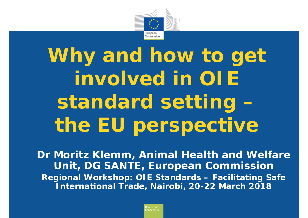

Why and how to get **involved in OIE standard setting – the EU perspective**

**Dr Moritz Klemm, Animal Health and Welfare Unit, DG SANTE, European Commission Regional Workshop: OIE Standards – Facilitating Safe International Trade, Nairobi, 20-22 March 2018**

*Consumers*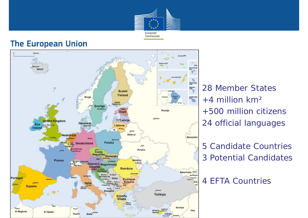

#### **The European Union**



28 Member States  $+4$  million km<sup>2</sup> +500 million citizens 24 official languages

5 Candidate Countries 3 Potential Candidates

4 EFTA Countries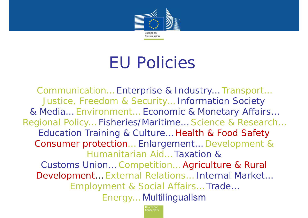

# EU Policies

Communication… Enterprise & Industry… Transport… Justice, Freedom & Security… Information Society & Media… Environment… Economic & Monetary Affairs… Regional Policy… Fisheries/Maritime… Science & Research… Education Training & Culture… Health & Food Safety Consumer protection… Enlargement… Development & Humanitarian Aid… Taxation & Customs Union… Competition… Agriculture & Rural Development… External Relations… Internal Market… Employment & Social Affairs… Trade… Energy… Multilingualism

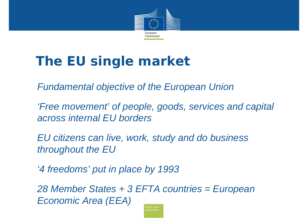

## **The EU single market**

*Fundamental objective of the European Union*

*'Free movement' of people, goods, services and capital across internal EU borders*

*EU citizens can live, work, study and do business throughout the EU* 

*'4 freedoms' put in place by 1993* 

*28 Member States + 3 EFTA countries = European Economic Area (EEA)*

*Consumers*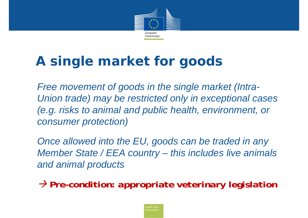

### **A single market for goods**

 *Free movement of goods in the single market (Intra-Union trade) may be restricted only in exceptional cases (e.g. risks to animal and public health, environment, or consumer protection)*

 *Once allowed into the EU, goods can be traded in any Member State / EEA country – this includes live animals and animal products*

*Pre-condition: appropriate veterinary legislation*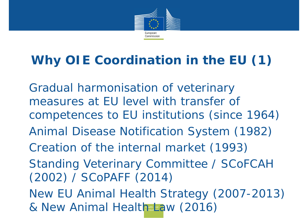

#### **Why OIE Coordination in the EU (1)**

& New Animal Health **Andrew (2016)** Gradual harmonisation of veterinary measures at EU level with transfer of competences to EU institutions (since 1964) Animal Disease Notification System (1982) Creation of the internal market (1993) Standing Veterinary Committee / SCoFCAH (2002) / SCoPAFF (2014) New EU Animal Health Strategy (2007-2013)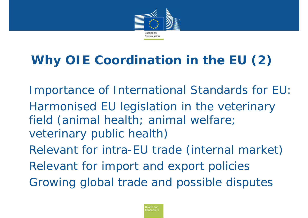

### **Why OIE Coordination in the EU (2)**

Importance of International Standards for EU: Harmonised EU legislation in the veterinary field *(animal health; animal welfare; veterinary public health)*

Relevant for intra-EU trade *(internal market)* Relevant for import and export policies Growing global trade and possible disputes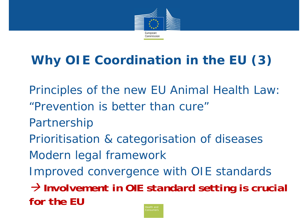

### **Why OIE Coordination in the EU (3)**

Principles of the new EU Animal Health Law: "Prevention is better than cure"Partnership Prioritisation & categorisation of diseases Modern legal framework Improved convergence with OIE standards *Involvement in OIE standard setting is crucial for the EU*

*Consumers*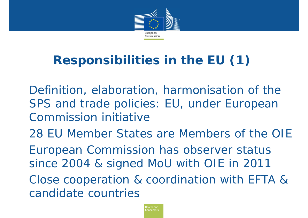

#### **Responsibilities in the EU (1)**

Definition, elaboration, harmonisation of the SPS and trade policies: EU, under European Commission initiative

28 EU Member States are Members of the OIE

European Commission has observer status since 2004 & signed MoU with OIE in 2011

Close cooperation & coordination with EFTA & candidate countries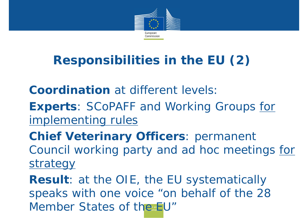

#### **Responsibilities in the EU (2)**

**Coordination** at different levels

**Experts**: SCoPAFF and Working Groups for implementing rules

**Chief Veterinary Officers**: permanent Council working party and *ad hoc* meetings for strategy

Member States of the **EU' Result**: at the OIE, the EU systematically speaks with one voice "on behalf of the 28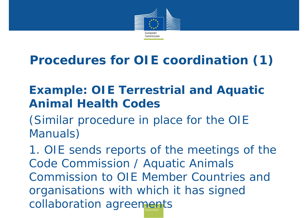

#### **Procedures for OIE coordination (1)**

#### **Example: OIE Terrestrial and Aquatic Animal Health Codes**

*(Similar procedure in place for the OIE Manuals)*

collaboration agreements 1. OIE sends reports of the meetings of the Code Commission / Aquatic Animals Commission to OIE Member Countries and organisations with which it has signed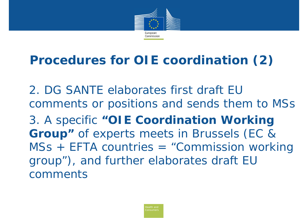

#### **Procedures for OIE coordination (2)**

2. DG SANTE elaborates first draft EU comments or positions and sends them to MSs 3. A specific **"OIE Coordination Working Group"** of experts meets in Brussels *(EC & MSs + EFTA countries = "Commission working group")*, and further elaborates draft EU comments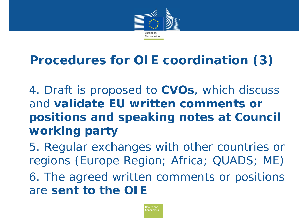

#### **Procedures for OIE coordination (3)**

- 4. Draft is proposed to **CVOs**, which discuss and **validate EU written comments or positions and speaking notes at Council working party**
- 5. Regular exchanges with other countries or regions *(Europe Region; Africa; QUADS; ME)*  6. The agreed written comments or positions are **sent to the OIE**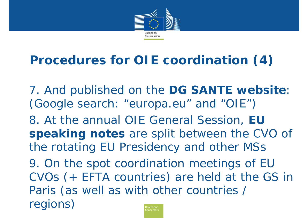

#### **Procedures for OIE coordination (4)**

7. And published on the **DG SANTE website**: (*Google search: "europa.eu" and "OIE"*)

8. At the annual OIE General Session, **EU speaking notes** are split between the CVO of the rotating EU Presidency and other MSs

*Consumers*9. On the spot coordination meetings of EU CVOs *(+ EFTA countries)* are held at the GS in Paris *(as well as with other countries / regions)*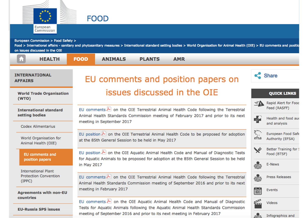

European Commission > Food Safety >

Food > International affairs - sanitary and phytosanitary measures > International standard setting bodies > World Organisation for Animal Health (OIE) > EU comments and positio

on issues discussed in the OIE

| <b>HEALTH</b><br>Ы                              | <b>FOOD</b>                                                                                                                                                                                                        | <b>ANIMALS</b>           | <b>PLANTS</b> | <b>AMR</b> |  |                  |                                                                   |
|-------------------------------------------------|--------------------------------------------------------------------------------------------------------------------------------------------------------------------------------------------------------------------|--------------------------|---------------|------------|--|------------------|-------------------------------------------------------------------|
| <b>INTERNATIONAL</b><br><b>AFFAIRS</b>          | EU comments and position papers on                                                                                                                                                                                 |                          |               |            |  | Share            |                                                                   |
| <b>World Trade Organisation</b><br>(WTO)        | issues discussed in the OIE                                                                                                                                                                                        |                          |               |            |  |                  | <b>QUICK LINKS</b>                                                |
| <b>International standard</b><br>setting bodies | EU comments $\triangleright$ on the OIE Terrestrial Animal Health Code following the Terrestrial<br>Animal Health Standards Commission meeting of February 2017 and prior to its next<br>meeting in September 2017 |                          |               |            |  |                  | Rapid Alert for Food<br>ΞA<br>Feed (RASFF)<br>Health and food aud |
| <b>Codex Alimentarius</b>                       |                                                                                                                                                                                                                    |                          |               |            |  |                  | and analysis                                                      |
| World Organisation for<br>Animal Health (OIE)   | EU position $\blacktriangle$ on the OIE Terrestrial Animal Health Code to be proposed for adoption<br>at the 85th General Session to be held in May 2017                                                           |                          |               |            |  | ₹.<br>efsa       | <b>European Food Safe</b><br>Authority (EFSA)                     |
| <b>EU</b> comments and<br>position papers       | EU position A on the OIE Aquatic Animal Health Code and Manual of Diagnostic Tests<br>for Aquatic Animals to be proposed for adoption at the 85th General Session to be held                                       |                          |               |            |  |                  | <b>Better Training for 9</b><br>Food (BTSF)                       |
| <b>International Plant</b>                      |                                                                                                                                                                                                                    | in May 2017              |               |            |  |                  | E-News                                                            |
| <b>Protection Convention</b><br>(IPPC)          | EU comments on the OIE Terrestrial Animal Health Code following the Terrestrial<br>Animal Health Standards Commission meeting of September 2016 and prior to its next                                              |                          |               |            |  | ė                | <b>Press Releases</b>                                             |
| <b>Agreements with non-EU</b>                   |                                                                                                                                                                                                                    | meeting in February 2017 | Ë             | Events     |  |                  |                                                                   |
| countries                                       | EU comments $\triangleright$ on the OIE Aquatic Animal Health Code and Manual of Diagnostic                                                                                                                        |                          |               |            |  | £                | <b>Videos</b>                                                     |
| <b>EU-Russia SPS issues</b>                     | Tests for Aquatic Animals following the Aquatic Animal Health Standards Commission<br>meeting of September 2016 and prior to its next meeting in February 2017                                                     |                          |               |            |  | Infographics and |                                                                   |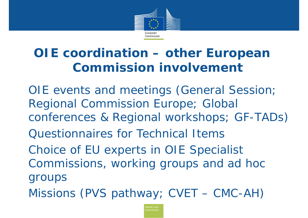

#### **OIE coordination – other European Commission involvement**

OIE events and meetings *(General Session; Regional Commission Europe; Global conferences & Regional workshops; GF-TADs)* Questionnaires for Technical ItemsChoice of EU experts in OIE Specialist Commissions, working groups and *ad hoc*  groups Missions *(PVS pathway; CVET – CMC-AH)*

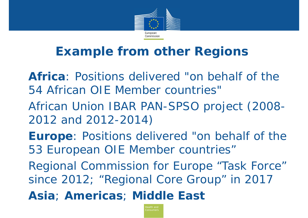

#### **Example from other Regions**

- **Africa**: Positions delivered "on behalf of the 54 African OIE Member countries"
- African Union IBAR PAN-SPSO project (2008- 2012 and 2012-2014)
- **Europe**: Positions delivered "on behalf of the 53 European OIE Member countries"
- Regional Commission for Europe "Task Force" since 2012; "Regional Core Group" in 2017
- **Asia**; **Americas**; **Middle East**

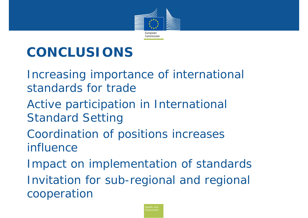

# **CONCLUSIONS**

- Increasing importance of international standards for trade
- Active participation in International Standard Setting
- Coordination of positions increases influence
- Impact on implementation of standards Invitation for sub-regional and regional cooperation